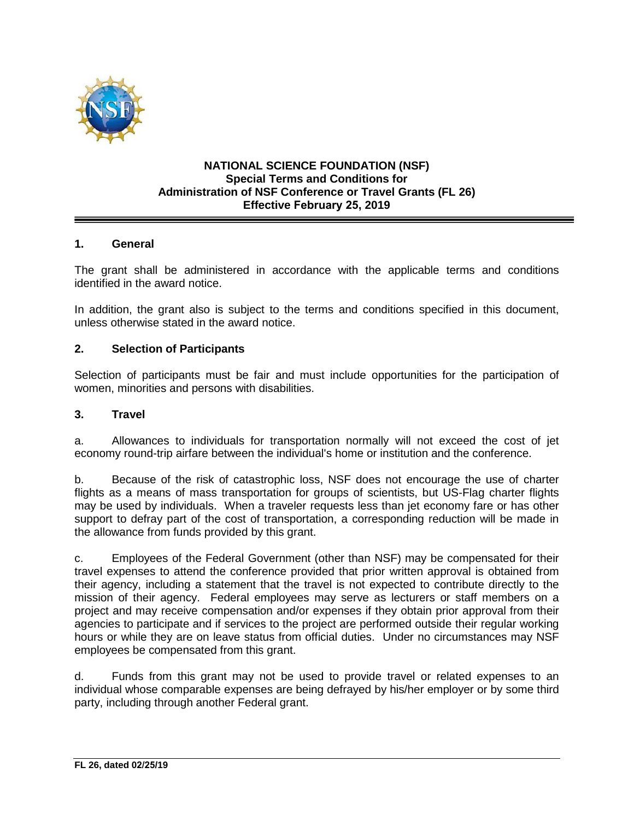

#### **NATIONAL SCIENCE FOUNDATION (NSF) Special Terms and Conditions for Administration of NSF Conference or Travel Grants (FL 26) Effective February 25, 2019**

### **1. General**

The grant shall be administered in accordance with the applicable terms and conditions identified in the award notice.

In addition, the grant also is subject to the terms and conditions specified in this document, unless otherwise stated in the award notice.

#### **2. Selection of Participants**

Selection of participants must be fair and must include opportunities for the participation of women, minorities and persons with disabilities.

#### **3. Travel**

a. Allowances to individuals for transportation normally will not exceed the cost of jet economy round-trip airfare between the individual's home or institution and the conference.

b. Because of the risk of catastrophic loss, NSF does not encourage the use of charter flights as a means of mass transportation for groups of scientists, but US-Flag charter flights may be used by individuals. When a traveler requests less than jet economy fare or has other support to defray part of the cost of transportation, a corresponding reduction will be made in the allowance from funds provided by this grant.

c. Employees of the Federal Government (other than NSF) may be compensated for their travel expenses to attend the conference provided that prior written approval is obtained from their agency, including a statement that the travel is not expected to contribute directly to the mission of their agency. Federal employees may serve as lecturers or staff members on a project and may receive compensation and/or expenses if they obtain prior approval from their agencies to participate and if services to the project are performed outside their regular working hours or while they are on leave status from official duties. Under no circumstances may NSF employees be compensated from this grant.

d. Funds from this grant may not be used to provide travel or related expenses to an individual whose comparable expenses are being defrayed by his/her employer or by some third party, including through another Federal grant.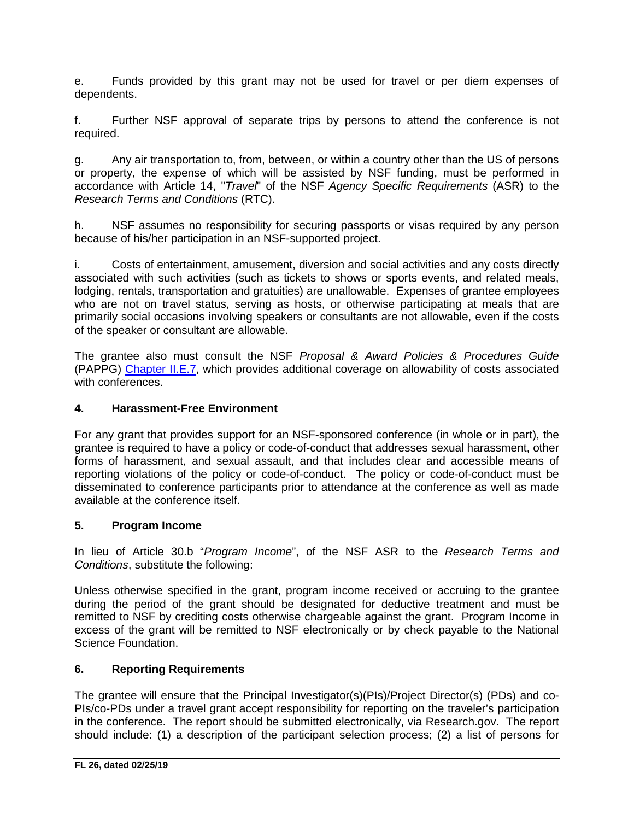e. Funds provided by this grant may not be used for travel or per diem expenses of dependents.

f. Further NSF approval of separate trips by persons to attend the conference is not required.

g. Any air transportation to, from, between, or within a country other than the US of persons or property, the expense of which will be assisted by NSF funding, must be performed in accordance with Article 14, "*Travel*" of the NSF *Agency Specific Requirements* (ASR) to the *Research Terms and Conditions* (RTC).

h. NSF assumes no responsibility for securing passports or visas required by any person because of his/her participation in an NSF-supported project.

i. Costs of entertainment, amusement, diversion and social activities and any costs directly associated with such activities (such as tickets to shows or sports events, and related meals, lodging, rentals, transportation and gratuities) are unallowable. Expenses of grantee employees who are not on travel status, serving as hosts, or otherwise participating at meals that are primarily social occasions involving speakers or consultants are not allowable, even if the costs of the speaker or consultant are allowable.

The grantee also must consult the NSF *Proposal & Award Policies & Procedures Guide* (PAPPG) [Chapter II.E.7,](https://www.nsf.gov/pubs/policydocs/pappg19_1/pappg_2.jsp#IIE7) which provides additional coverage on allowability of costs associated with conferences.

## **4. Harassment-Free Environment**

For any grant that provides support for an NSF-sponsored conference (in whole or in part), the grantee is required to have a policy or code-of-conduct that addresses sexual harassment, other forms of harassment, and sexual assault, and that includes clear and accessible means of reporting violations of the policy or code-of-conduct. The policy or code-of-conduct must be disseminated to conference participants prior to attendance at the conference as well as made available at the conference itself.

### **5. Program Income**

In lieu of Article 30.b "*Program Income*", of the NSF ASR to the *Research Terms and Conditions*, substitute the following:

Unless otherwise specified in the grant, program income received or accruing to the grantee during the period of the grant should be designated for deductive treatment and must be remitted to NSF by crediting costs otherwise chargeable against the grant. Program Income in excess of the grant will be remitted to NSF electronically or by check payable to the National Science Foundation.

# **6. Reporting Requirements**

The grantee will ensure that the Principal Investigator(s)(PIs)/Project Director(s) (PDs) and co-PIs/co-PDs under a travel grant accept responsibility for reporting on the traveler's participation in the conference. The report should be submitted electronically, via Research.gov. The report should include: (1) a description of the participant selection process; (2) a list of persons for